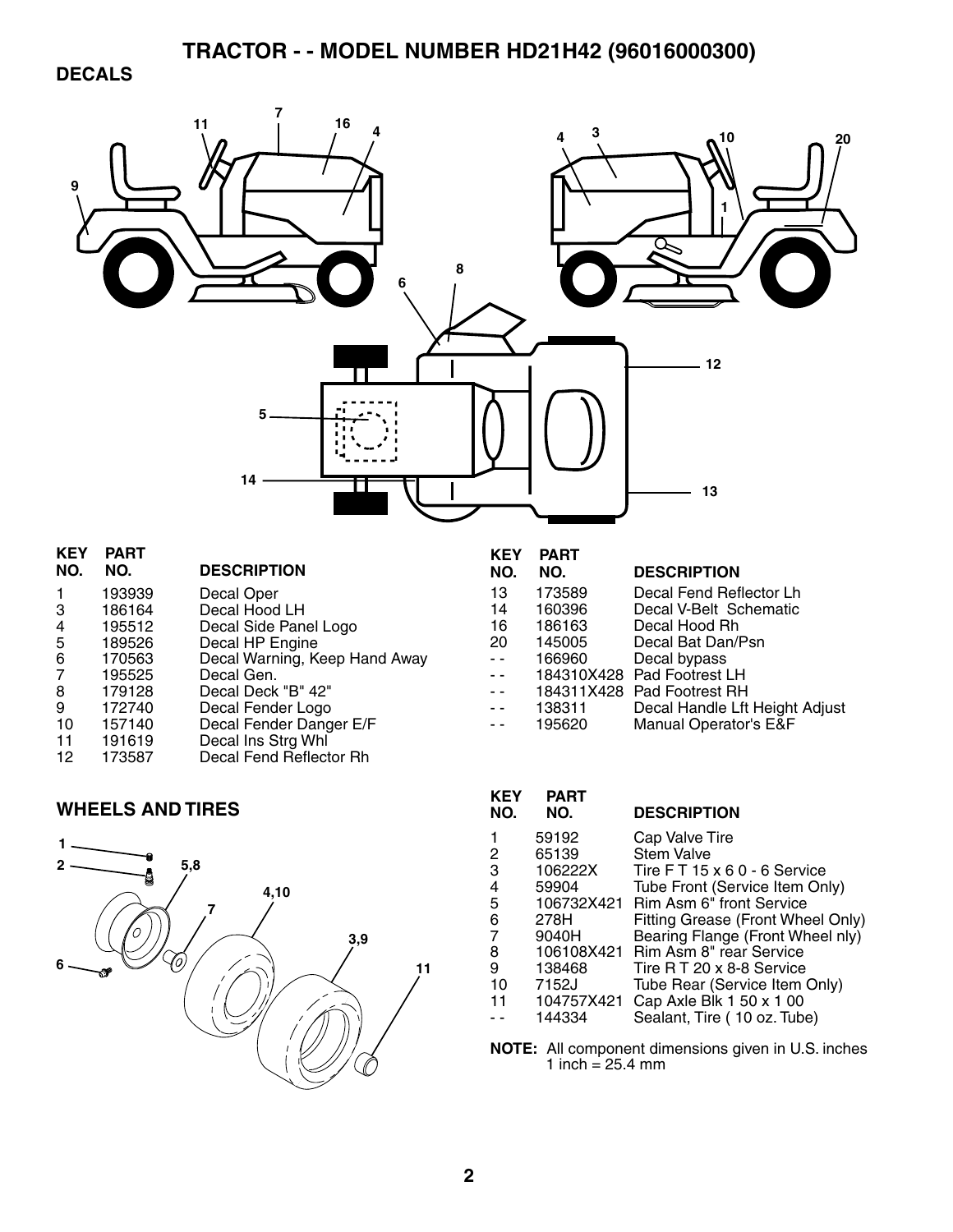#### **DECALS**



#### **WHEELS AND TIRES**



| KEY<br>NO. | <b>PART</b><br>NO. | <b>DESCRIPTION</b>                |
|------------|--------------------|-----------------------------------|
| 1          | 59192              | Cap Valve Tire                    |
| 2          | 65139              | <b>Stem Valve</b>                 |
| 3          | 106222X            | Tire FT 15 x 6 0 - 6 Service      |
| 4          | 59904              | Tube Front (Service Item Only)    |
| 5          | 106732X421         | Rim Asm 6" front Service          |
| 6          | 278H               | Fitting Grease (Front Wheel Only) |
| 7          | 9040H              | Bearing Flange (Front Wheel nly)  |
| 8          | 106108X421         | Rim Asm 8" rear Service           |
| 9          | 138468             | Tire R T 20 x 8-8 Service         |
| 10         | 7152J              | Tube Rear (Service Item Only)     |
| 11         | 104757X421         | Cap Axle Blk 1 50 x 1 00          |
|            | 144334             | Sealant, Tire (10 oz. Tube)       |

**NOTE:** All component dimensions given in U.S. inches 1 inch =  $25.4 \, \text{mm}$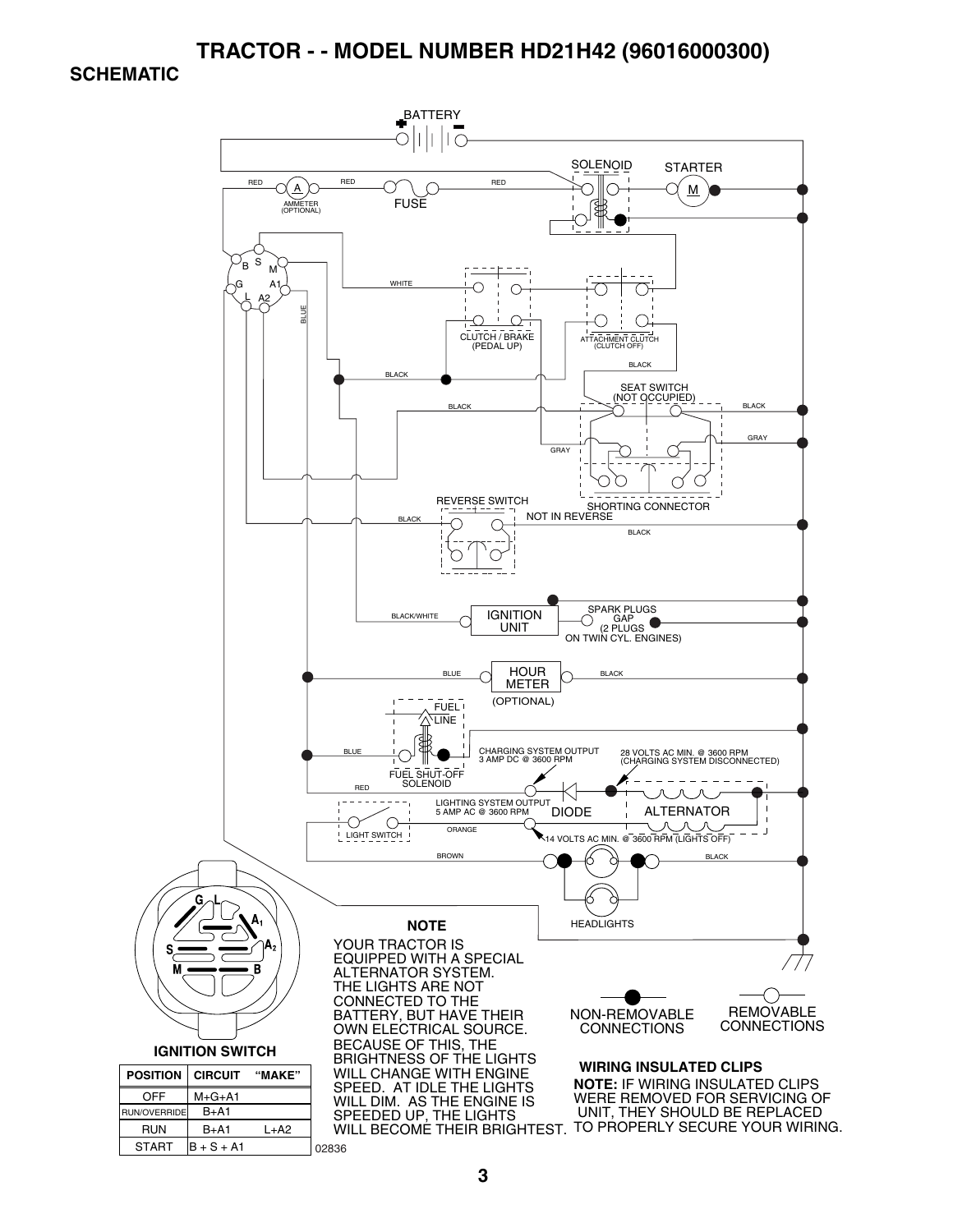#### **SCHEMATIC**

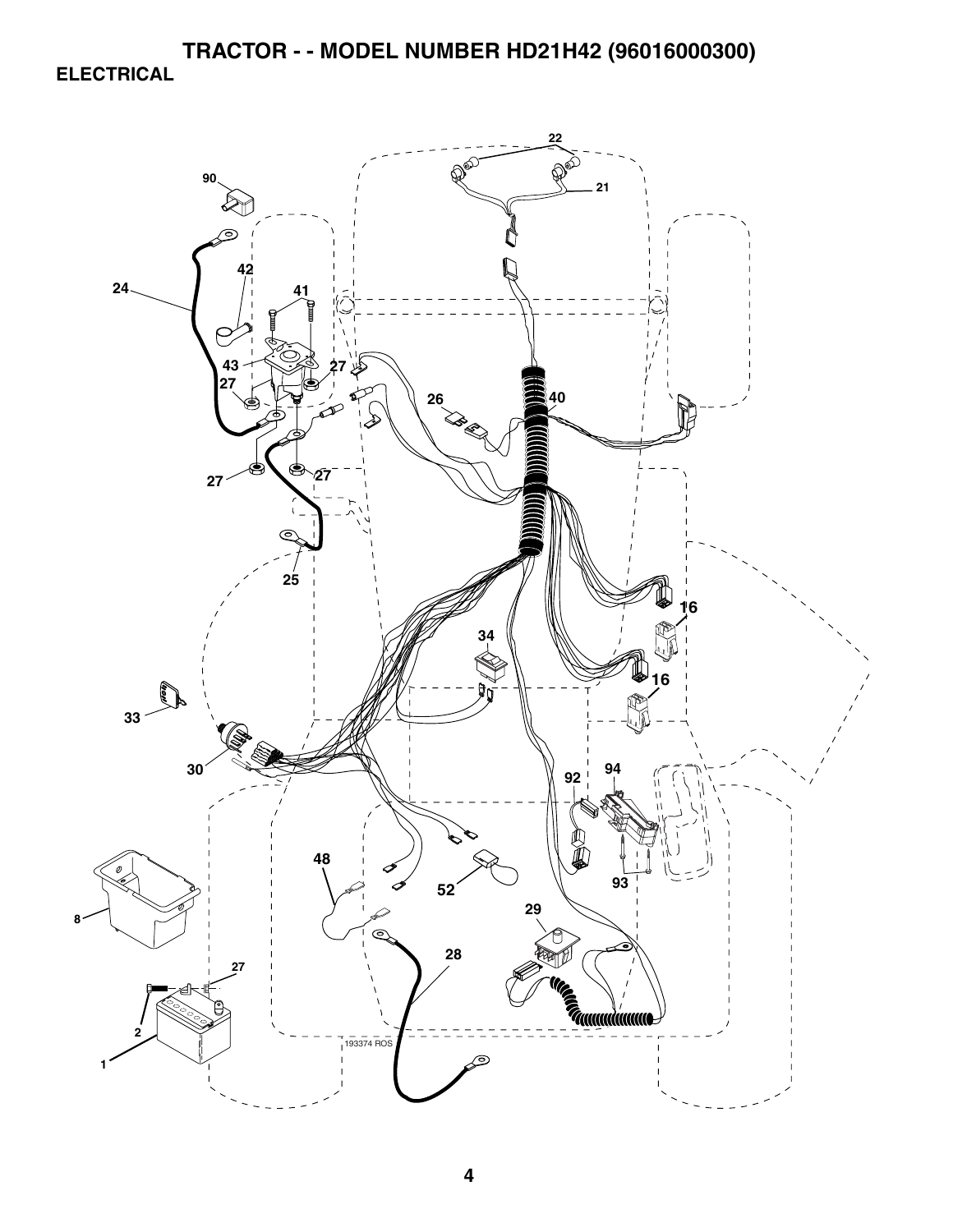**TRACTOR - - MODEL NUMBER HD21H42 (96016000300) ELECTRICAL** 

![](_page_2_Figure_1.jpeg)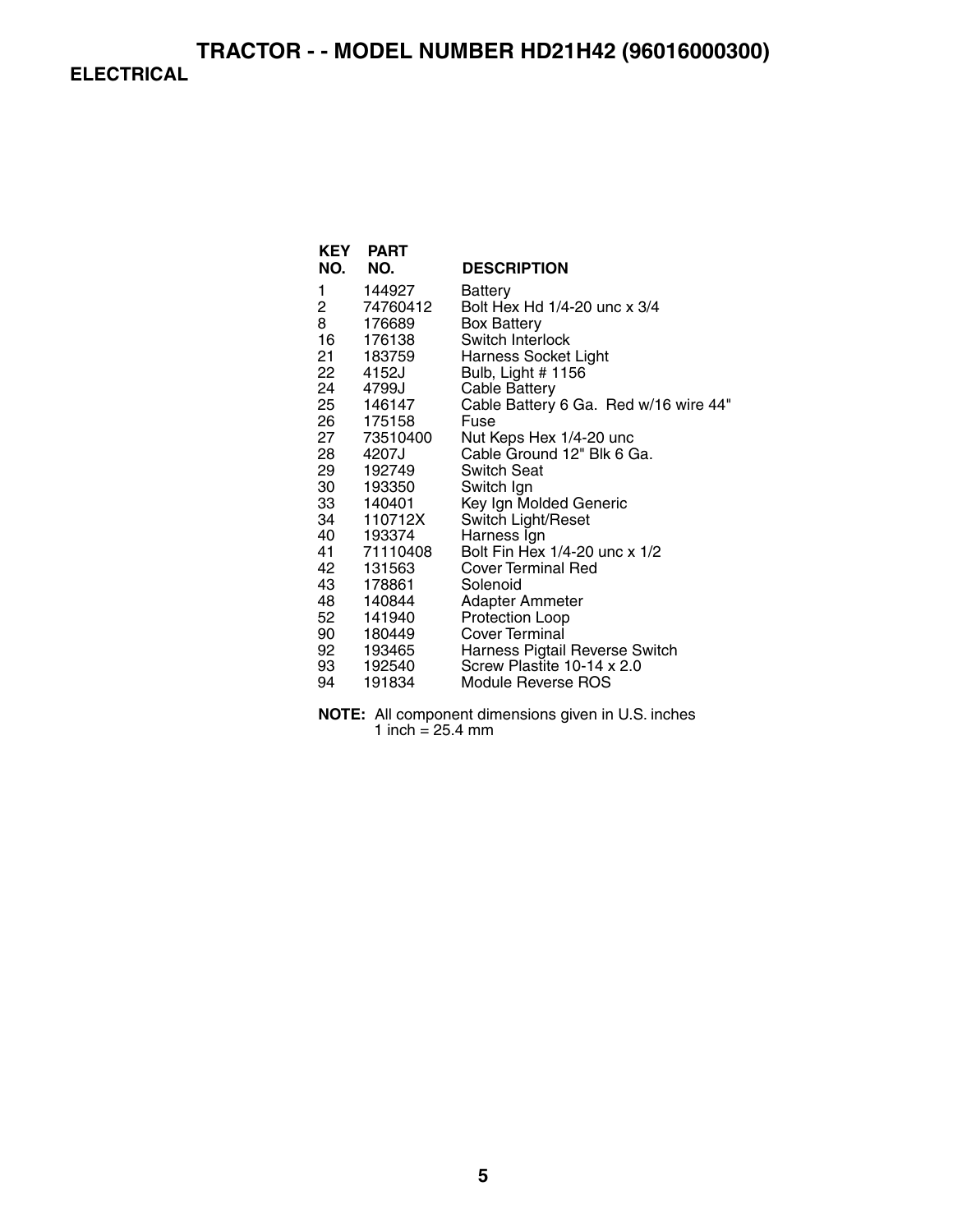| NO. NO. | <b>KEY PART</b> | <b>DESCRIPTION</b>                    |
|---------|-----------------|---------------------------------------|
| 1       | 144927          | Battery                               |
| 2       | 74760412        | Bolt Hex Hd 1/4-20 unc x 3/4          |
| 8       | 176689          | Box Battery                           |
| 16      | 176138          | Switch Interlock                      |
|         | 21 183759       | <b>Harness Socket Light</b>           |
| 22      | 4152J           | Bulb, Light # 1156                    |
| 24      | 4799J           | Cable Battery                         |
|         | 25 146147       | Cable Battery 6 Ga. Red w/16 wire 44" |
|         | 26 175158       | Fuse                                  |
|         | 27 73510400     | Nut Keps Hex 1/4-20 unc               |
|         | 28 4207J        | Cable Ground 12" Blk 6 Ga.            |
| 29      | 192749          | <b>Switch Seat</b>                    |
|         | 30 193350       | Switch Ign                            |
|         | 33 140401       | Key Ign Molded Generic                |
|         | 34 110712X      | Switch Light/Reset                    |
|         | 40 193374       | Harness Ign                           |
|         | 41 71110408     | Bolt Fin Hex 1/4-20 unc x 1/2         |
| 42      | 131563          | <b>Cover Terminal Red</b>             |
| 43      | 178861          | Solenoid                              |
| 48      | 140844          | Adapter Ammeter                       |
|         | 52 141940       | <b>Protection Loop</b>                |
|         | 90 180449       | <b>Cover Terminal</b>                 |
|         | 92 193465       | Harness Pigtail Reverse Switch        |
| 93      | 192540          | Screw Plastite 10-14 x 2.0            |
| 94      | 191834          | Module Reverse ROS                    |

**NOTE:** All component dimensions given in U.S. inches 1 inch  $= 25.4$  mm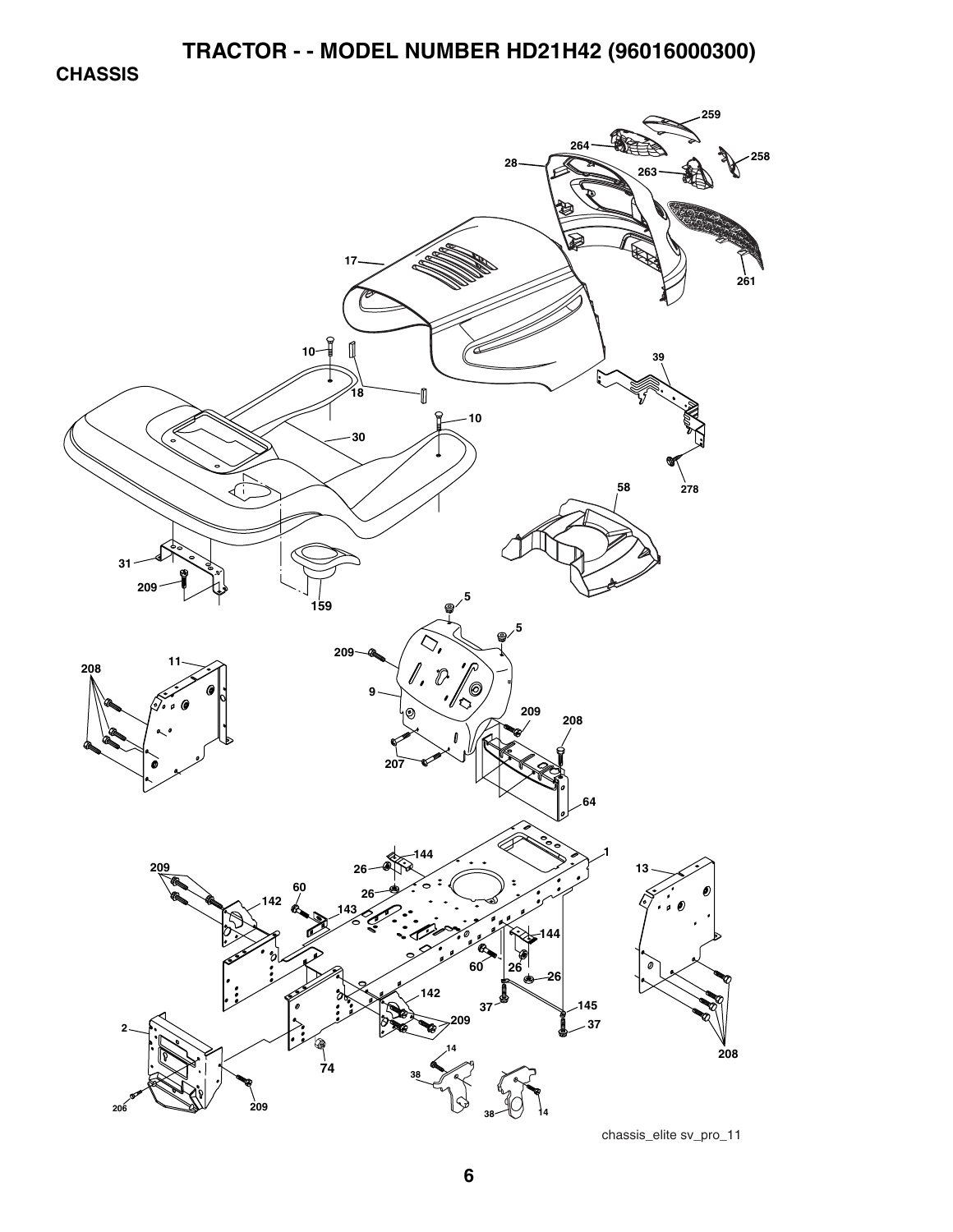**CHASSIS** 

![](_page_4_Figure_2.jpeg)

chassis\_elite sv\_pro\_11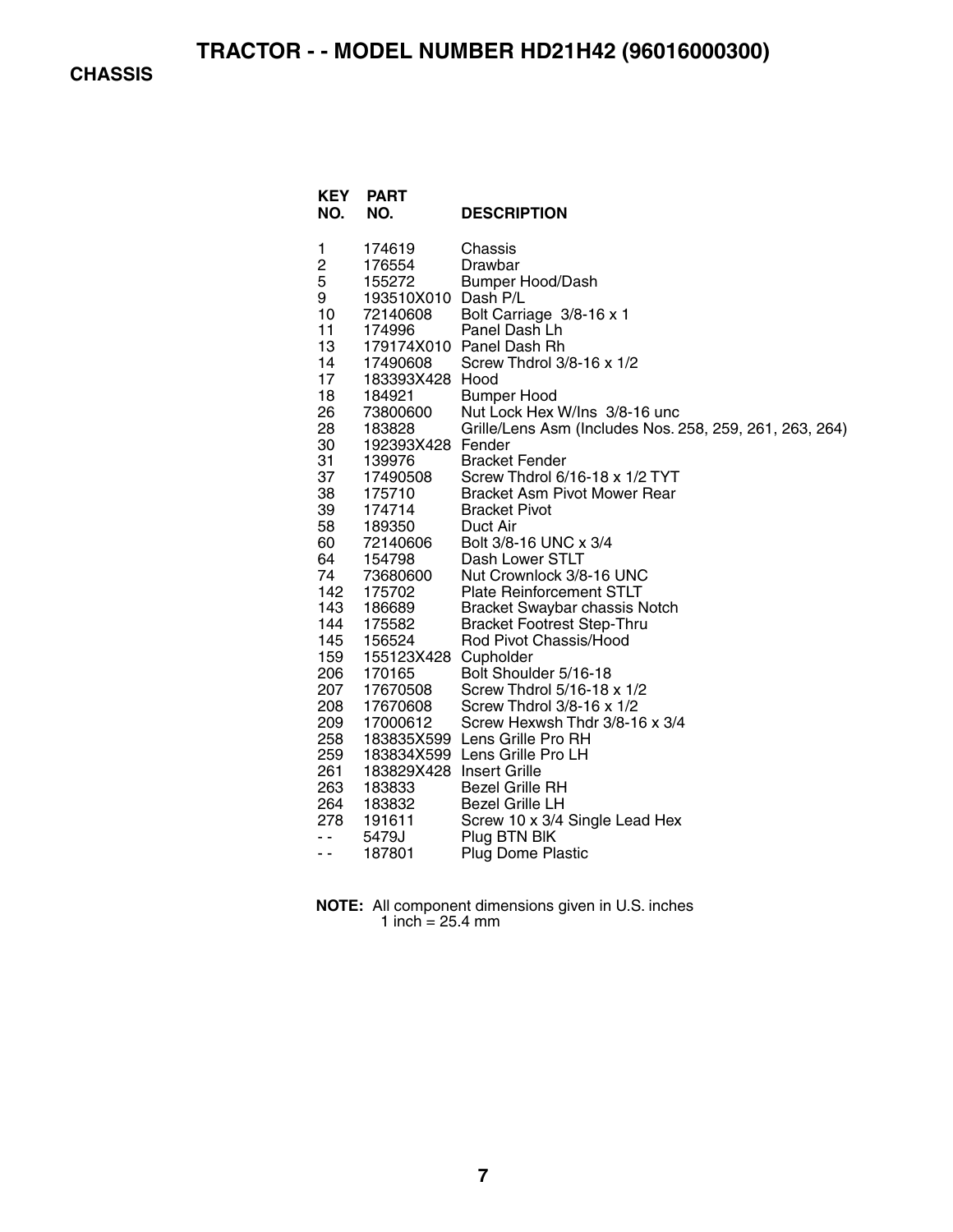**CHASSIS** 

| <b>KEY</b><br>NO.                                                                                                                                                                     | <b>PART</b><br>NO.                                                                                                                                                                                                                                                                                                                                              | <b>DESCRIPTION</b>                                                                                                                                                                                                                                                                                                                                                                                                                                                                                                                                                                                                                                                                                                                           |
|---------------------------------------------------------------------------------------------------------------------------------------------------------------------------------------|-----------------------------------------------------------------------------------------------------------------------------------------------------------------------------------------------------------------------------------------------------------------------------------------------------------------------------------------------------------------|----------------------------------------------------------------------------------------------------------------------------------------------------------------------------------------------------------------------------------------------------------------------------------------------------------------------------------------------------------------------------------------------------------------------------------------------------------------------------------------------------------------------------------------------------------------------------------------------------------------------------------------------------------------------------------------------------------------------------------------------|
| 1<br>2<br>5<br>9<br>10<br>11<br>13<br>14<br>17<br>18<br>26<br>28<br>30<br>31<br>37<br>38<br>39<br>58<br>60<br>64<br>74<br>142<br>143<br>144<br>145<br>159<br>206<br>207<br>208<br>209 | 174619<br>176554<br>155272<br>193510X010 Dash P/L<br>72140608<br>174996<br>17490608<br>183393X428 Hood<br>184921<br>73800600<br>183828<br>192393X428 Fender<br>139976<br>17490508<br>175710<br>174714<br>189350<br>72140606<br>154798<br>73680600<br>175702<br>186689<br>175582<br>156524<br>155123X428 Cupholder<br>170165<br>17670508<br>17670608<br>17000612 | Chassis<br>Drawbar<br><b>Bumper Hood/Dash</b><br>Bolt Carriage 3/8-16 x 1<br>Panel Dash Lh<br>179174X010 Panel Dash Rh<br>Screw Thdrol 3/8-16 x 1/2<br><b>Bumper Hood</b><br>Nut Lock Hex W/Ins 3/8-16 unc<br>Grille/Lens Asm (Includes Nos. 258, 259, 261, 263, 264)<br><b>Bracket Fender</b><br>Screw Thdrol 6/16-18 x 1/2 TYT<br><b>Bracket Asm Pivot Mower Rear</b><br><b>Bracket Pivot</b><br>Duct Air<br>Bolt 3/8-16 UNC x 3/4<br>Dash Lower STLT<br>Nut Crownlock 3/8-16 UNC<br><b>Plate Reinforcement STLT</b><br>Bracket Swaybar chassis Notch<br><b>Bracket Footrest Step-Thru</b><br>Rod Pivot Chassis/Hood<br>Bolt Shoulder 5/16-18<br>Screw Thdrol 5/16-18 x 1/2<br>Screw Thdrol 3/8-16 x 1/2<br>Screw Hexwsh Thdr 3/8-16 x 3/4 |
|                                                                                                                                                                                       |                                                                                                                                                                                                                                                                                                                                                                 |                                                                                                                                                                                                                                                                                                                                                                                                                                                                                                                                                                                                                                                                                                                                              |
| 258<br>259<br>261<br>263<br>264<br>278<br>- -<br>$ -$                                                                                                                                 | 183829X428 Insert Grille<br>183833<br>183832<br>191611<br>5479J<br>187801                                                                                                                                                                                                                                                                                       | 183835X599 Lens Grille Pro RH<br>183834X599 Lens Grille Pro LH<br><b>Bezel Grille RH</b><br><b>Bezel Grille LH</b><br>Screw 10 x 3/4 Single Lead Hex<br>Plug BTN BIK<br><b>Plug Dome Plastic</b>                                                                                                                                                                                                                                                                                                                                                                                                                                                                                                                                             |

**NOTE:** All component dimensions given in U.S. inches 1 inch = 25.4 mm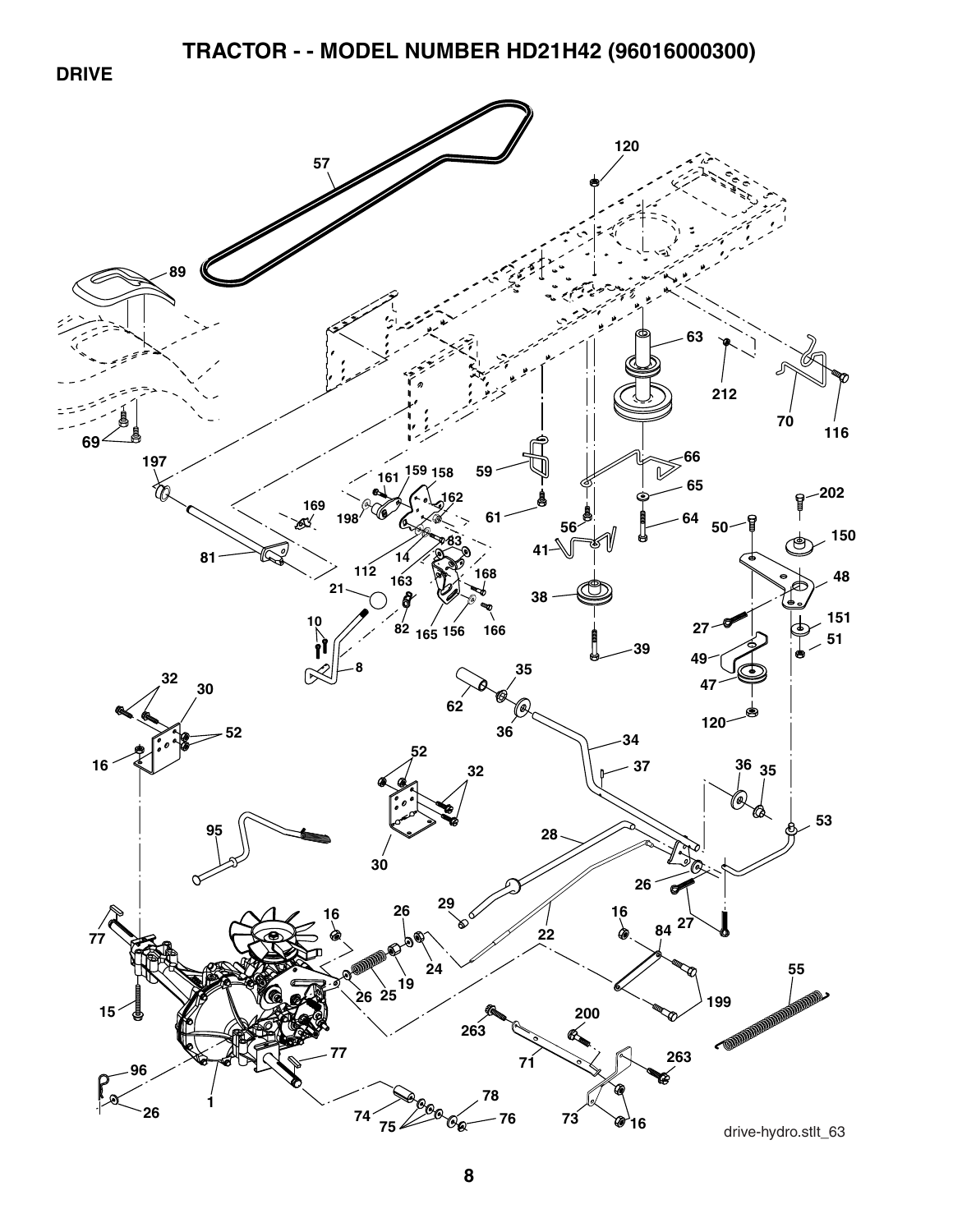**DRIVE** 

![](_page_6_Figure_2.jpeg)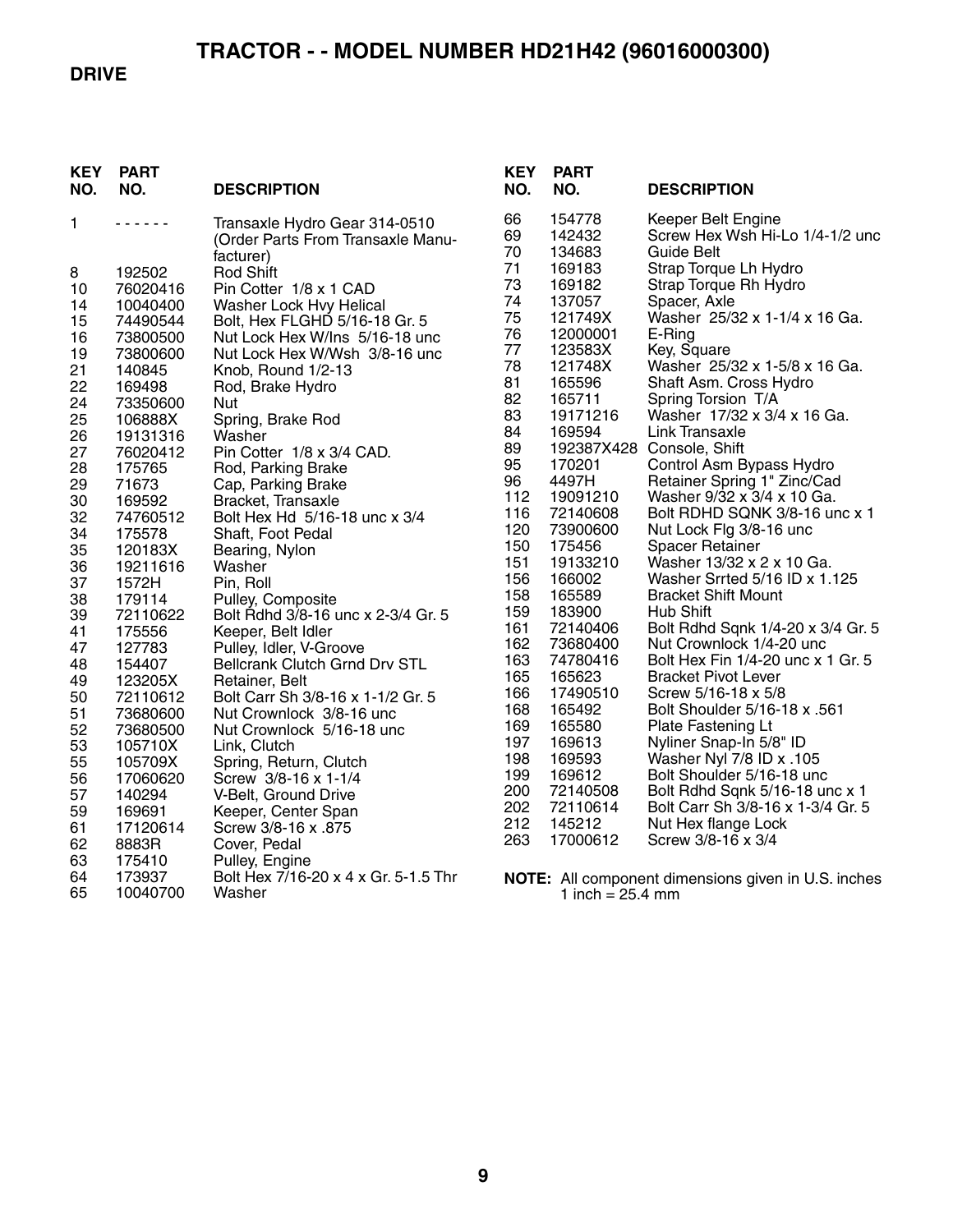#### **DRIVE**

| 66<br>154778<br>Keeper Belt Engine<br>Transaxle Hydro Gear 314-0510<br>1<br>.<br>69<br>142432<br>Screw Hex Wsh Hi-Lo 1/4-1/2 unc<br>(Order Parts From Transaxle Manu-<br>70<br>134683<br><b>Guide Belt</b><br>facturer)<br>71<br>169183<br>Strap Torque Lh Hydro<br>192502<br><b>Rod Shift</b><br>8<br>73<br>169182<br>Strap Torque Rh Hydro<br>Pin Cotter 1/8 x 1 CAD<br>10<br>76020416<br>74<br>137057<br>Spacer, Axle<br>14<br>10040400<br>Washer Lock Hvy Helical<br>75<br>Washer 25/32 x 1-1/4 x 16 Ga.<br>121749X<br>15<br>74490544<br>Bolt, Hex FLGHD 5/16-18 Gr. 5<br>76<br>12000001<br>E-Ring<br>16<br>73800500<br>Nut Lock Hex W/Ins 5/16-18 unc<br>77<br>123583X<br>Key, Square<br>19<br>73800600<br>Nut Lock Hex W/Wsh 3/8-16 unc<br>78<br>Washer 25/32 x 1-5/8 x 16 Ga.<br>121748X<br>21<br>140845<br>Knob, Round 1/2-13<br>81<br>165596<br>Shaft Asm. Cross Hydro<br>22<br>169498<br>Rod, Brake Hydro<br>82<br>165711<br>Spring Torsion T/A<br>24<br>73350600<br><b>Nut</b><br>83<br>19171216<br>Washer 17/32 x 3/4 x 16 Ga.<br>25<br>Spring, Brake Rod<br>106888X<br>84<br>169594<br>Link Transaxle<br>26<br>19131316<br>Washer<br>89<br>192387X428 Console, Shift<br>27<br>76020412<br>Pin Cotter 1/8 x 3/4 CAD.<br>95<br>Control Asm Bypass Hydro<br>170201<br>28<br>175765<br>Rod, Parking Brake<br>96<br>4497H<br>Retainer Spring 1" Zinc/Cad<br>29<br>71673<br>Cap, Parking Brake<br>112<br>19091210<br>Washer 9/32 x 3/4 x 10 Ga.<br>30<br>169592<br>Bracket, Transaxle<br>116<br>72140608<br>Bolt RDHD SQNK 3/8-16 unc x 1<br>32<br>74760512<br>Bolt Hex Hd 5/16-18 unc x 3/4<br>120<br>73900600<br>Nut Lock Flg 3/8-16 unc<br>34<br>175578<br>Shaft, Foot Pedal<br>150<br>175456<br><b>Spacer Retainer</b><br>35<br>120183X<br>Bearing, Nylon<br>151<br>19133210<br>Washer 13/32 x 2 x 10 Ga.<br>36<br>Washer<br>19211616<br>156<br>166002<br>Washer Srrted 5/16 ID x 1.125<br>37<br>1572H<br>Pin, Roll<br>158<br>165589<br><b>Bracket Shift Mount</b><br>38<br>Pulley, Composite<br>179114<br>159<br>183900<br>Hub Shift<br>39<br>Bolt Rdhd 3/8-16 unc x 2-3/4 Gr. 5<br>72110622<br>161<br>Bolt Rdhd Sqnk 1/4-20 x 3/4 Gr. 5<br>72140406<br>41<br>175556<br>Keeper, Belt Idler<br>162<br>73680400<br>Nut Crownlock 1/4-20 unc<br>47<br>127783<br>Pulley, Idler, V-Groove<br>163<br>74780416<br>Bolt Hex Fin 1/4-20 unc x 1 Gr. 5<br>48<br>Bellcrank Clutch Grnd Drv STL<br>154407<br>165<br>165623<br><b>Bracket Pivot Lever</b><br>49<br>123205X<br>Retainer, Belt<br>166<br>17490510<br>Screw 5/16-18 x 5/8<br>50<br>72110612<br>Bolt Carr Sh 3/8-16 x 1-1/2 Gr. 5<br>168<br>165492<br>Bolt Shoulder 5/16-18 x .561<br>51<br>73680600<br>Nut Crownlock 3/8-16 unc<br>169<br>165580<br>Plate Fastening Lt<br>52<br>73680500<br>Nut Crownlock 5/16-18 unc<br>197<br>169613<br>Nyliner Snap-In 5/8" ID<br>53<br>105710X<br>Link, Clutch<br>198<br>169593<br>Washer Nyl 7/8 ID x .105<br>55<br>105709X<br>Spring, Return, Clutch<br>199<br>169612<br>Bolt Shoulder 5/16-18 unc<br>56<br>Screw 3/8-16 x 1-1/4<br>17060620<br>200<br>72140508<br>Bolt Rdhd Sqnk 5/16-18 unc x 1<br>57<br>140294<br>V-Belt, Ground Drive<br>202<br>72110614<br>Bolt Carr Sh 3/8-16 x 1-3/4 Gr. 5<br>59<br>169691<br>Keeper, Center Span<br>212<br>145212<br>Nut Hex flange Lock<br>61<br>17120614<br>Screw 3/8-16 x .875<br>263<br>Screw 3/8-16 x 3/4<br>17000612<br>62<br>8883R<br>Cover, Pedal<br>63<br>175410<br>Pulley, Engine<br>64<br>Bolt Hex 7/16-20 x 4 x Gr. 5-1.5 Thr<br>173937<br>NOTE: All component dimensions given in U.S. inches<br>1 inch = $25.4 \, \text{mm}$ | <b>KEY</b><br>NO. | <b>PART</b><br>NO. | <b>DESCRIPTION</b> | <b>KEY</b><br>NO. | <b>PART</b><br>NO. | <b>DESCRIPTION</b> |
|--------------------------------------------------------------------------------------------------------------------------------------------------------------------------------------------------------------------------------------------------------------------------------------------------------------------------------------------------------------------------------------------------------------------------------------------------------------------------------------------------------------------------------------------------------------------------------------------------------------------------------------------------------------------------------------------------------------------------------------------------------------------------------------------------------------------------------------------------------------------------------------------------------------------------------------------------------------------------------------------------------------------------------------------------------------------------------------------------------------------------------------------------------------------------------------------------------------------------------------------------------------------------------------------------------------------------------------------------------------------------------------------------------------------------------------------------------------------------------------------------------------------------------------------------------------------------------------------------------------------------------------------------------------------------------------------------------------------------------------------------------------------------------------------------------------------------------------------------------------------------------------------------------------------------------------------------------------------------------------------------------------------------------------------------------------------------------------------------------------------------------------------------------------------------------------------------------------------------------------------------------------------------------------------------------------------------------------------------------------------------------------------------------------------------------------------------------------------------------------------------------------------------------------------------------------------------------------------------------------------------------------------------------------------------------------------------------------------------------------------------------------------------------------------------------------------------------------------------------------------------------------------------------------------------------------------------------------------------------------------------------------------------------------------------------------------------------------------------------------------------------------------------------------------------------------------------------------------------------------------------------------------------------------------------------------------------------------------------------------------------------------------------------------------------------------------------------------------------------------------------------------------------------------------------------------------------------------|-------------------|--------------------|--------------------|-------------------|--------------------|--------------------|
|                                                                                                                                                                                                                                                                                                                                                                                                                                                                                                                                                                                                                                                                                                                                                                                                                                                                                                                                                                                                                                                                                                                                                                                                                                                                                                                                                                                                                                                                                                                                                                                                                                                                                                                                                                                                                                                                                                                                                                                                                                                                                                                                                                                                                                                                                                                                                                                                                                                                                                                                                                                                                                                                                                                                                                                                                                                                                                                                                                                                                                                                                                                                                                                                                                                                                                                                                                                                                                                                                                                                                                                      |                   |                    |                    |                   |                    |                    |
|                                                                                                                                                                                                                                                                                                                                                                                                                                                                                                                                                                                                                                                                                                                                                                                                                                                                                                                                                                                                                                                                                                                                                                                                                                                                                                                                                                                                                                                                                                                                                                                                                                                                                                                                                                                                                                                                                                                                                                                                                                                                                                                                                                                                                                                                                                                                                                                                                                                                                                                                                                                                                                                                                                                                                                                                                                                                                                                                                                                                                                                                                                                                                                                                                                                                                                                                                                                                                                                                                                                                                                                      |                   |                    |                    |                   |                    |                    |
|                                                                                                                                                                                                                                                                                                                                                                                                                                                                                                                                                                                                                                                                                                                                                                                                                                                                                                                                                                                                                                                                                                                                                                                                                                                                                                                                                                                                                                                                                                                                                                                                                                                                                                                                                                                                                                                                                                                                                                                                                                                                                                                                                                                                                                                                                                                                                                                                                                                                                                                                                                                                                                                                                                                                                                                                                                                                                                                                                                                                                                                                                                                                                                                                                                                                                                                                                                                                                                                                                                                                                                                      |                   |                    |                    |                   |                    |                    |
|                                                                                                                                                                                                                                                                                                                                                                                                                                                                                                                                                                                                                                                                                                                                                                                                                                                                                                                                                                                                                                                                                                                                                                                                                                                                                                                                                                                                                                                                                                                                                                                                                                                                                                                                                                                                                                                                                                                                                                                                                                                                                                                                                                                                                                                                                                                                                                                                                                                                                                                                                                                                                                                                                                                                                                                                                                                                                                                                                                                                                                                                                                                                                                                                                                                                                                                                                                                                                                                                                                                                                                                      |                   |                    |                    |                   |                    |                    |
|                                                                                                                                                                                                                                                                                                                                                                                                                                                                                                                                                                                                                                                                                                                                                                                                                                                                                                                                                                                                                                                                                                                                                                                                                                                                                                                                                                                                                                                                                                                                                                                                                                                                                                                                                                                                                                                                                                                                                                                                                                                                                                                                                                                                                                                                                                                                                                                                                                                                                                                                                                                                                                                                                                                                                                                                                                                                                                                                                                                                                                                                                                                                                                                                                                                                                                                                                                                                                                                                                                                                                                                      |                   |                    |                    |                   |                    |                    |
|                                                                                                                                                                                                                                                                                                                                                                                                                                                                                                                                                                                                                                                                                                                                                                                                                                                                                                                                                                                                                                                                                                                                                                                                                                                                                                                                                                                                                                                                                                                                                                                                                                                                                                                                                                                                                                                                                                                                                                                                                                                                                                                                                                                                                                                                                                                                                                                                                                                                                                                                                                                                                                                                                                                                                                                                                                                                                                                                                                                                                                                                                                                                                                                                                                                                                                                                                                                                                                                                                                                                                                                      |                   |                    |                    |                   |                    |                    |
|                                                                                                                                                                                                                                                                                                                                                                                                                                                                                                                                                                                                                                                                                                                                                                                                                                                                                                                                                                                                                                                                                                                                                                                                                                                                                                                                                                                                                                                                                                                                                                                                                                                                                                                                                                                                                                                                                                                                                                                                                                                                                                                                                                                                                                                                                                                                                                                                                                                                                                                                                                                                                                                                                                                                                                                                                                                                                                                                                                                                                                                                                                                                                                                                                                                                                                                                                                                                                                                                                                                                                                                      |                   |                    |                    |                   |                    |                    |
|                                                                                                                                                                                                                                                                                                                                                                                                                                                                                                                                                                                                                                                                                                                                                                                                                                                                                                                                                                                                                                                                                                                                                                                                                                                                                                                                                                                                                                                                                                                                                                                                                                                                                                                                                                                                                                                                                                                                                                                                                                                                                                                                                                                                                                                                                                                                                                                                                                                                                                                                                                                                                                                                                                                                                                                                                                                                                                                                                                                                                                                                                                                                                                                                                                                                                                                                                                                                                                                                                                                                                                                      |                   |                    |                    |                   |                    |                    |
|                                                                                                                                                                                                                                                                                                                                                                                                                                                                                                                                                                                                                                                                                                                                                                                                                                                                                                                                                                                                                                                                                                                                                                                                                                                                                                                                                                                                                                                                                                                                                                                                                                                                                                                                                                                                                                                                                                                                                                                                                                                                                                                                                                                                                                                                                                                                                                                                                                                                                                                                                                                                                                                                                                                                                                                                                                                                                                                                                                                                                                                                                                                                                                                                                                                                                                                                                                                                                                                                                                                                                                                      |                   |                    |                    |                   |                    |                    |
|                                                                                                                                                                                                                                                                                                                                                                                                                                                                                                                                                                                                                                                                                                                                                                                                                                                                                                                                                                                                                                                                                                                                                                                                                                                                                                                                                                                                                                                                                                                                                                                                                                                                                                                                                                                                                                                                                                                                                                                                                                                                                                                                                                                                                                                                                                                                                                                                                                                                                                                                                                                                                                                                                                                                                                                                                                                                                                                                                                                                                                                                                                                                                                                                                                                                                                                                                                                                                                                                                                                                                                                      |                   |                    |                    |                   |                    |                    |
|                                                                                                                                                                                                                                                                                                                                                                                                                                                                                                                                                                                                                                                                                                                                                                                                                                                                                                                                                                                                                                                                                                                                                                                                                                                                                                                                                                                                                                                                                                                                                                                                                                                                                                                                                                                                                                                                                                                                                                                                                                                                                                                                                                                                                                                                                                                                                                                                                                                                                                                                                                                                                                                                                                                                                                                                                                                                                                                                                                                                                                                                                                                                                                                                                                                                                                                                                                                                                                                                                                                                                                                      |                   |                    |                    |                   |                    |                    |
|                                                                                                                                                                                                                                                                                                                                                                                                                                                                                                                                                                                                                                                                                                                                                                                                                                                                                                                                                                                                                                                                                                                                                                                                                                                                                                                                                                                                                                                                                                                                                                                                                                                                                                                                                                                                                                                                                                                                                                                                                                                                                                                                                                                                                                                                                                                                                                                                                                                                                                                                                                                                                                                                                                                                                                                                                                                                                                                                                                                                                                                                                                                                                                                                                                                                                                                                                                                                                                                                                                                                                                                      |                   |                    |                    |                   |                    |                    |
|                                                                                                                                                                                                                                                                                                                                                                                                                                                                                                                                                                                                                                                                                                                                                                                                                                                                                                                                                                                                                                                                                                                                                                                                                                                                                                                                                                                                                                                                                                                                                                                                                                                                                                                                                                                                                                                                                                                                                                                                                                                                                                                                                                                                                                                                                                                                                                                                                                                                                                                                                                                                                                                                                                                                                                                                                                                                                                                                                                                                                                                                                                                                                                                                                                                                                                                                                                                                                                                                                                                                                                                      |                   |                    |                    |                   |                    |                    |
|                                                                                                                                                                                                                                                                                                                                                                                                                                                                                                                                                                                                                                                                                                                                                                                                                                                                                                                                                                                                                                                                                                                                                                                                                                                                                                                                                                                                                                                                                                                                                                                                                                                                                                                                                                                                                                                                                                                                                                                                                                                                                                                                                                                                                                                                                                                                                                                                                                                                                                                                                                                                                                                                                                                                                                                                                                                                                                                                                                                                                                                                                                                                                                                                                                                                                                                                                                                                                                                                                                                                                                                      |                   |                    |                    |                   |                    |                    |
|                                                                                                                                                                                                                                                                                                                                                                                                                                                                                                                                                                                                                                                                                                                                                                                                                                                                                                                                                                                                                                                                                                                                                                                                                                                                                                                                                                                                                                                                                                                                                                                                                                                                                                                                                                                                                                                                                                                                                                                                                                                                                                                                                                                                                                                                                                                                                                                                                                                                                                                                                                                                                                                                                                                                                                                                                                                                                                                                                                                                                                                                                                                                                                                                                                                                                                                                                                                                                                                                                                                                                                                      |                   |                    |                    |                   |                    |                    |
|                                                                                                                                                                                                                                                                                                                                                                                                                                                                                                                                                                                                                                                                                                                                                                                                                                                                                                                                                                                                                                                                                                                                                                                                                                                                                                                                                                                                                                                                                                                                                                                                                                                                                                                                                                                                                                                                                                                                                                                                                                                                                                                                                                                                                                                                                                                                                                                                                                                                                                                                                                                                                                                                                                                                                                                                                                                                                                                                                                                                                                                                                                                                                                                                                                                                                                                                                                                                                                                                                                                                                                                      |                   |                    |                    |                   |                    |                    |
|                                                                                                                                                                                                                                                                                                                                                                                                                                                                                                                                                                                                                                                                                                                                                                                                                                                                                                                                                                                                                                                                                                                                                                                                                                                                                                                                                                                                                                                                                                                                                                                                                                                                                                                                                                                                                                                                                                                                                                                                                                                                                                                                                                                                                                                                                                                                                                                                                                                                                                                                                                                                                                                                                                                                                                                                                                                                                                                                                                                                                                                                                                                                                                                                                                                                                                                                                                                                                                                                                                                                                                                      |                   |                    |                    |                   |                    |                    |
|                                                                                                                                                                                                                                                                                                                                                                                                                                                                                                                                                                                                                                                                                                                                                                                                                                                                                                                                                                                                                                                                                                                                                                                                                                                                                                                                                                                                                                                                                                                                                                                                                                                                                                                                                                                                                                                                                                                                                                                                                                                                                                                                                                                                                                                                                                                                                                                                                                                                                                                                                                                                                                                                                                                                                                                                                                                                                                                                                                                                                                                                                                                                                                                                                                                                                                                                                                                                                                                                                                                                                                                      |                   |                    |                    |                   |                    |                    |
|                                                                                                                                                                                                                                                                                                                                                                                                                                                                                                                                                                                                                                                                                                                                                                                                                                                                                                                                                                                                                                                                                                                                                                                                                                                                                                                                                                                                                                                                                                                                                                                                                                                                                                                                                                                                                                                                                                                                                                                                                                                                                                                                                                                                                                                                                                                                                                                                                                                                                                                                                                                                                                                                                                                                                                                                                                                                                                                                                                                                                                                                                                                                                                                                                                                                                                                                                                                                                                                                                                                                                                                      |                   |                    |                    |                   |                    |                    |
|                                                                                                                                                                                                                                                                                                                                                                                                                                                                                                                                                                                                                                                                                                                                                                                                                                                                                                                                                                                                                                                                                                                                                                                                                                                                                                                                                                                                                                                                                                                                                                                                                                                                                                                                                                                                                                                                                                                                                                                                                                                                                                                                                                                                                                                                                                                                                                                                                                                                                                                                                                                                                                                                                                                                                                                                                                                                                                                                                                                                                                                                                                                                                                                                                                                                                                                                                                                                                                                                                                                                                                                      |                   |                    |                    |                   |                    |                    |
|                                                                                                                                                                                                                                                                                                                                                                                                                                                                                                                                                                                                                                                                                                                                                                                                                                                                                                                                                                                                                                                                                                                                                                                                                                                                                                                                                                                                                                                                                                                                                                                                                                                                                                                                                                                                                                                                                                                                                                                                                                                                                                                                                                                                                                                                                                                                                                                                                                                                                                                                                                                                                                                                                                                                                                                                                                                                                                                                                                                                                                                                                                                                                                                                                                                                                                                                                                                                                                                                                                                                                                                      |                   |                    |                    |                   |                    |                    |
|                                                                                                                                                                                                                                                                                                                                                                                                                                                                                                                                                                                                                                                                                                                                                                                                                                                                                                                                                                                                                                                                                                                                                                                                                                                                                                                                                                                                                                                                                                                                                                                                                                                                                                                                                                                                                                                                                                                                                                                                                                                                                                                                                                                                                                                                                                                                                                                                                                                                                                                                                                                                                                                                                                                                                                                                                                                                                                                                                                                                                                                                                                                                                                                                                                                                                                                                                                                                                                                                                                                                                                                      |                   |                    |                    |                   |                    |                    |
|                                                                                                                                                                                                                                                                                                                                                                                                                                                                                                                                                                                                                                                                                                                                                                                                                                                                                                                                                                                                                                                                                                                                                                                                                                                                                                                                                                                                                                                                                                                                                                                                                                                                                                                                                                                                                                                                                                                                                                                                                                                                                                                                                                                                                                                                                                                                                                                                                                                                                                                                                                                                                                                                                                                                                                                                                                                                                                                                                                                                                                                                                                                                                                                                                                                                                                                                                                                                                                                                                                                                                                                      |                   |                    |                    |                   |                    |                    |
|                                                                                                                                                                                                                                                                                                                                                                                                                                                                                                                                                                                                                                                                                                                                                                                                                                                                                                                                                                                                                                                                                                                                                                                                                                                                                                                                                                                                                                                                                                                                                                                                                                                                                                                                                                                                                                                                                                                                                                                                                                                                                                                                                                                                                                                                                                                                                                                                                                                                                                                                                                                                                                                                                                                                                                                                                                                                                                                                                                                                                                                                                                                                                                                                                                                                                                                                                                                                                                                                                                                                                                                      |                   |                    |                    |                   |                    |                    |
|                                                                                                                                                                                                                                                                                                                                                                                                                                                                                                                                                                                                                                                                                                                                                                                                                                                                                                                                                                                                                                                                                                                                                                                                                                                                                                                                                                                                                                                                                                                                                                                                                                                                                                                                                                                                                                                                                                                                                                                                                                                                                                                                                                                                                                                                                                                                                                                                                                                                                                                                                                                                                                                                                                                                                                                                                                                                                                                                                                                                                                                                                                                                                                                                                                                                                                                                                                                                                                                                                                                                                                                      |                   |                    |                    |                   |                    |                    |
|                                                                                                                                                                                                                                                                                                                                                                                                                                                                                                                                                                                                                                                                                                                                                                                                                                                                                                                                                                                                                                                                                                                                                                                                                                                                                                                                                                                                                                                                                                                                                                                                                                                                                                                                                                                                                                                                                                                                                                                                                                                                                                                                                                                                                                                                                                                                                                                                                                                                                                                                                                                                                                                                                                                                                                                                                                                                                                                                                                                                                                                                                                                                                                                                                                                                                                                                                                                                                                                                                                                                                                                      |                   |                    |                    |                   |                    |                    |
|                                                                                                                                                                                                                                                                                                                                                                                                                                                                                                                                                                                                                                                                                                                                                                                                                                                                                                                                                                                                                                                                                                                                                                                                                                                                                                                                                                                                                                                                                                                                                                                                                                                                                                                                                                                                                                                                                                                                                                                                                                                                                                                                                                                                                                                                                                                                                                                                                                                                                                                                                                                                                                                                                                                                                                                                                                                                                                                                                                                                                                                                                                                                                                                                                                                                                                                                                                                                                                                                                                                                                                                      |                   |                    |                    |                   |                    |                    |
|                                                                                                                                                                                                                                                                                                                                                                                                                                                                                                                                                                                                                                                                                                                                                                                                                                                                                                                                                                                                                                                                                                                                                                                                                                                                                                                                                                                                                                                                                                                                                                                                                                                                                                                                                                                                                                                                                                                                                                                                                                                                                                                                                                                                                                                                                                                                                                                                                                                                                                                                                                                                                                                                                                                                                                                                                                                                                                                                                                                                                                                                                                                                                                                                                                                                                                                                                                                                                                                                                                                                                                                      |                   |                    |                    |                   |                    |                    |
|                                                                                                                                                                                                                                                                                                                                                                                                                                                                                                                                                                                                                                                                                                                                                                                                                                                                                                                                                                                                                                                                                                                                                                                                                                                                                                                                                                                                                                                                                                                                                                                                                                                                                                                                                                                                                                                                                                                                                                                                                                                                                                                                                                                                                                                                                                                                                                                                                                                                                                                                                                                                                                                                                                                                                                                                                                                                                                                                                                                                                                                                                                                                                                                                                                                                                                                                                                                                                                                                                                                                                                                      |                   |                    |                    |                   |                    |                    |
|                                                                                                                                                                                                                                                                                                                                                                                                                                                                                                                                                                                                                                                                                                                                                                                                                                                                                                                                                                                                                                                                                                                                                                                                                                                                                                                                                                                                                                                                                                                                                                                                                                                                                                                                                                                                                                                                                                                                                                                                                                                                                                                                                                                                                                                                                                                                                                                                                                                                                                                                                                                                                                                                                                                                                                                                                                                                                                                                                                                                                                                                                                                                                                                                                                                                                                                                                                                                                                                                                                                                                                                      |                   |                    |                    |                   |                    |                    |
|                                                                                                                                                                                                                                                                                                                                                                                                                                                                                                                                                                                                                                                                                                                                                                                                                                                                                                                                                                                                                                                                                                                                                                                                                                                                                                                                                                                                                                                                                                                                                                                                                                                                                                                                                                                                                                                                                                                                                                                                                                                                                                                                                                                                                                                                                                                                                                                                                                                                                                                                                                                                                                                                                                                                                                                                                                                                                                                                                                                                                                                                                                                                                                                                                                                                                                                                                                                                                                                                                                                                                                                      |                   |                    |                    |                   |                    |                    |
|                                                                                                                                                                                                                                                                                                                                                                                                                                                                                                                                                                                                                                                                                                                                                                                                                                                                                                                                                                                                                                                                                                                                                                                                                                                                                                                                                                                                                                                                                                                                                                                                                                                                                                                                                                                                                                                                                                                                                                                                                                                                                                                                                                                                                                                                                                                                                                                                                                                                                                                                                                                                                                                                                                                                                                                                                                                                                                                                                                                                                                                                                                                                                                                                                                                                                                                                                                                                                                                                                                                                                                                      |                   |                    |                    |                   |                    |                    |
|                                                                                                                                                                                                                                                                                                                                                                                                                                                                                                                                                                                                                                                                                                                                                                                                                                                                                                                                                                                                                                                                                                                                                                                                                                                                                                                                                                                                                                                                                                                                                                                                                                                                                                                                                                                                                                                                                                                                                                                                                                                                                                                                                                                                                                                                                                                                                                                                                                                                                                                                                                                                                                                                                                                                                                                                                                                                                                                                                                                                                                                                                                                                                                                                                                                                                                                                                                                                                                                                                                                                                                                      |                   |                    |                    |                   |                    |                    |
|                                                                                                                                                                                                                                                                                                                                                                                                                                                                                                                                                                                                                                                                                                                                                                                                                                                                                                                                                                                                                                                                                                                                                                                                                                                                                                                                                                                                                                                                                                                                                                                                                                                                                                                                                                                                                                                                                                                                                                                                                                                                                                                                                                                                                                                                                                                                                                                                                                                                                                                                                                                                                                                                                                                                                                                                                                                                                                                                                                                                                                                                                                                                                                                                                                                                                                                                                                                                                                                                                                                                                                                      |                   |                    |                    |                   |                    |                    |
|                                                                                                                                                                                                                                                                                                                                                                                                                                                                                                                                                                                                                                                                                                                                                                                                                                                                                                                                                                                                                                                                                                                                                                                                                                                                                                                                                                                                                                                                                                                                                                                                                                                                                                                                                                                                                                                                                                                                                                                                                                                                                                                                                                                                                                                                                                                                                                                                                                                                                                                                                                                                                                                                                                                                                                                                                                                                                                                                                                                                                                                                                                                                                                                                                                                                                                                                                                                                                                                                                                                                                                                      |                   |                    |                    |                   |                    |                    |
|                                                                                                                                                                                                                                                                                                                                                                                                                                                                                                                                                                                                                                                                                                                                                                                                                                                                                                                                                                                                                                                                                                                                                                                                                                                                                                                                                                                                                                                                                                                                                                                                                                                                                                                                                                                                                                                                                                                                                                                                                                                                                                                                                                                                                                                                                                                                                                                                                                                                                                                                                                                                                                                                                                                                                                                                                                                                                                                                                                                                                                                                                                                                                                                                                                                                                                                                                                                                                                                                                                                                                                                      |                   |                    |                    |                   |                    |                    |
|                                                                                                                                                                                                                                                                                                                                                                                                                                                                                                                                                                                                                                                                                                                                                                                                                                                                                                                                                                                                                                                                                                                                                                                                                                                                                                                                                                                                                                                                                                                                                                                                                                                                                                                                                                                                                                                                                                                                                                                                                                                                                                                                                                                                                                                                                                                                                                                                                                                                                                                                                                                                                                                                                                                                                                                                                                                                                                                                                                                                                                                                                                                                                                                                                                                                                                                                                                                                                                                                                                                                                                                      |                   |                    |                    |                   |                    |                    |
|                                                                                                                                                                                                                                                                                                                                                                                                                                                                                                                                                                                                                                                                                                                                                                                                                                                                                                                                                                                                                                                                                                                                                                                                                                                                                                                                                                                                                                                                                                                                                                                                                                                                                                                                                                                                                                                                                                                                                                                                                                                                                                                                                                                                                                                                                                                                                                                                                                                                                                                                                                                                                                                                                                                                                                                                                                                                                                                                                                                                                                                                                                                                                                                                                                                                                                                                                                                                                                                                                                                                                                                      |                   |                    |                    |                   |                    |                    |
|                                                                                                                                                                                                                                                                                                                                                                                                                                                                                                                                                                                                                                                                                                                                                                                                                                                                                                                                                                                                                                                                                                                                                                                                                                                                                                                                                                                                                                                                                                                                                                                                                                                                                                                                                                                                                                                                                                                                                                                                                                                                                                                                                                                                                                                                                                                                                                                                                                                                                                                                                                                                                                                                                                                                                                                                                                                                                                                                                                                                                                                                                                                                                                                                                                                                                                                                                                                                                                                                                                                                                                                      |                   |                    |                    |                   |                    |                    |
|                                                                                                                                                                                                                                                                                                                                                                                                                                                                                                                                                                                                                                                                                                                                                                                                                                                                                                                                                                                                                                                                                                                                                                                                                                                                                                                                                                                                                                                                                                                                                                                                                                                                                                                                                                                                                                                                                                                                                                                                                                                                                                                                                                                                                                                                                                                                                                                                                                                                                                                                                                                                                                                                                                                                                                                                                                                                                                                                                                                                                                                                                                                                                                                                                                                                                                                                                                                                                                                                                                                                                                                      | 65                | 10040700           | Washer             |                   |                    |                    |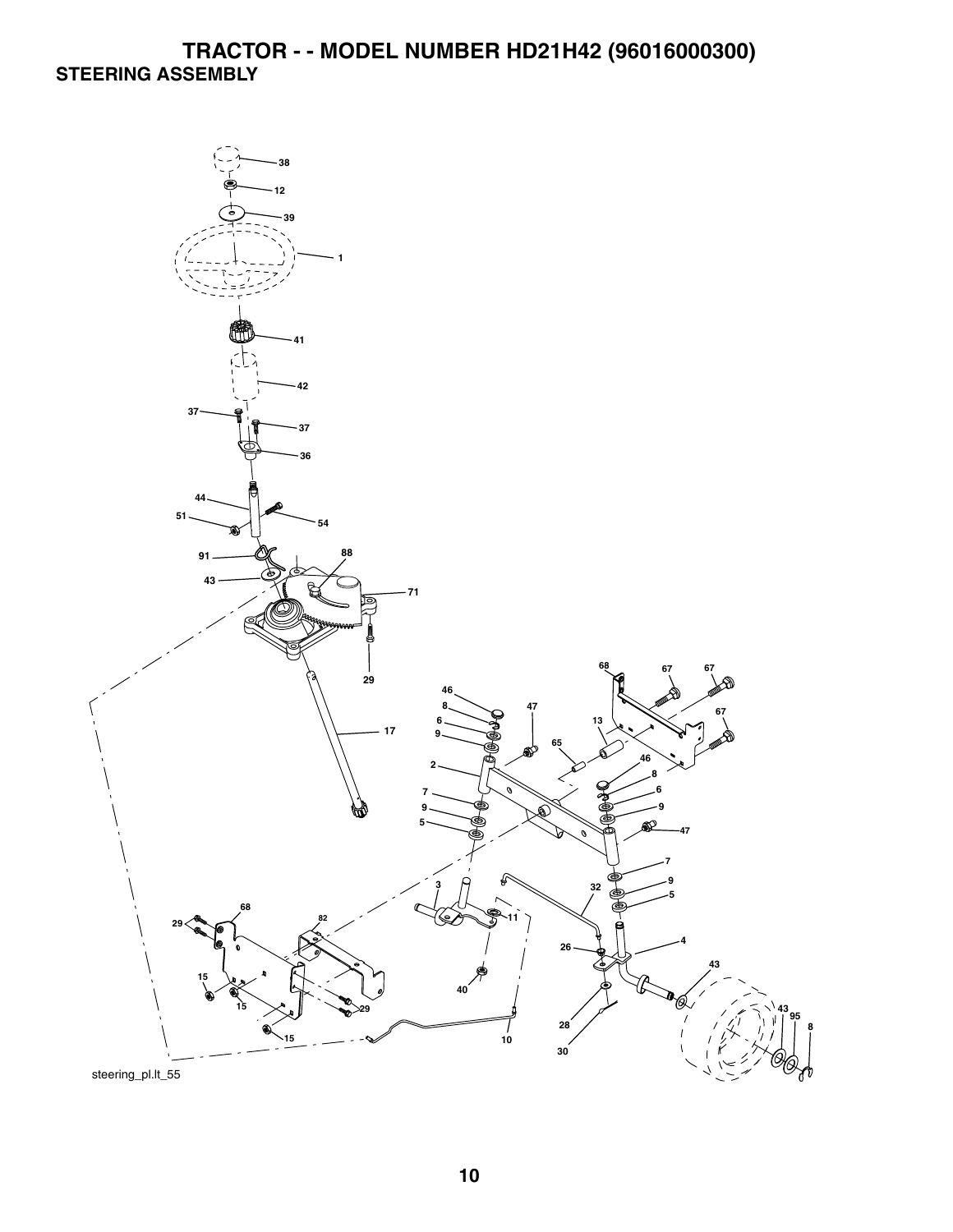## **TRACTOR - - MODEL NUMBER HD21H42 (96016000300) STEERING ASSEMBLY**

![](_page_8_Figure_1.jpeg)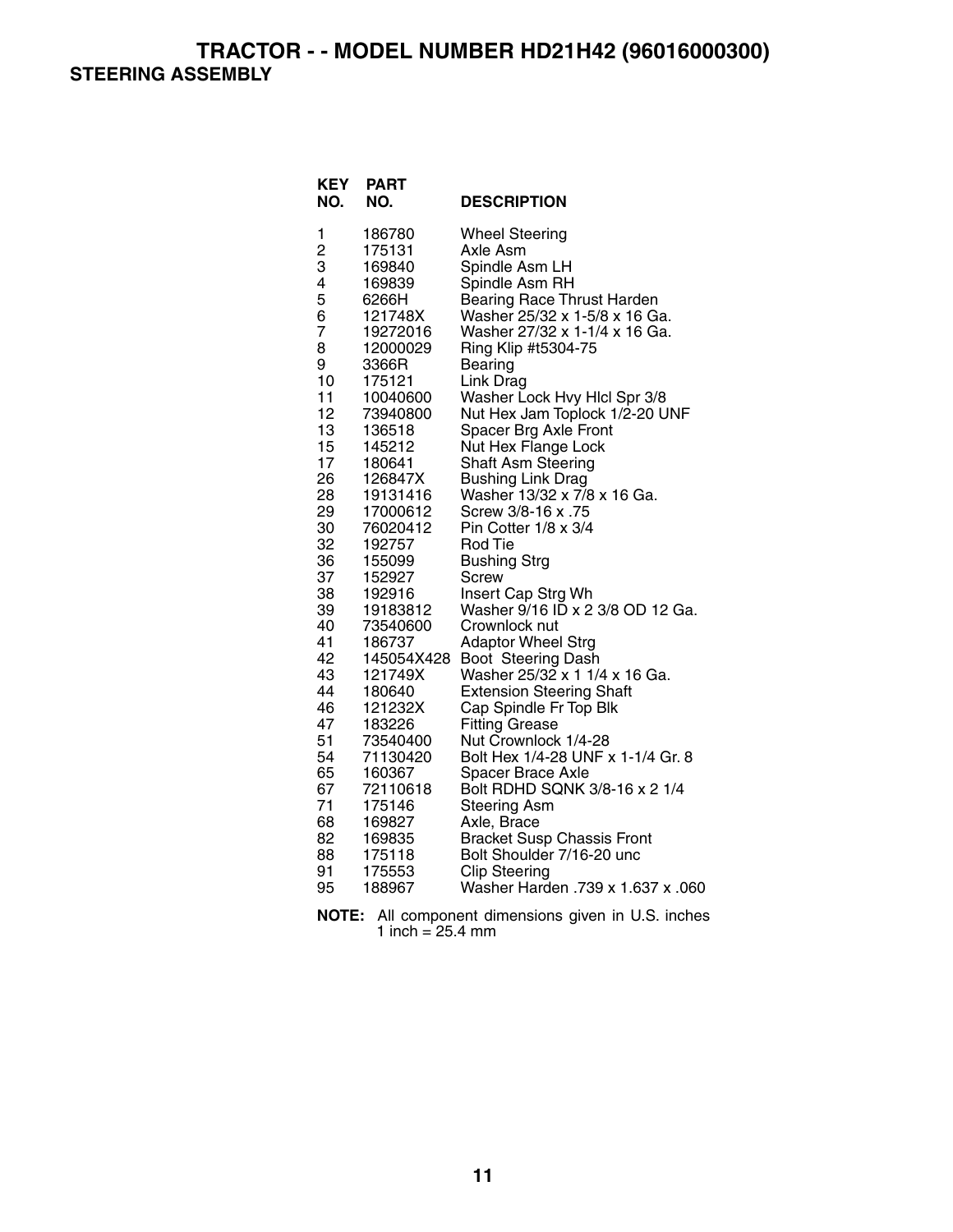**TRACTOR - - MODEL NUMBER HD21H42 (96016000300) STEERING ASSEMBLY** 

| <b>KEY</b><br>NO.                                                                                                                                                                                                                                      | PART<br>NO.                                                                                                                                                                                                                                                                                                                                                                                                                                          | <b>DESCRIPTION</b>                                                                                                                                                                                                                                                                                                                                                                                                                                                                                                                                                                                                                                                                                                                                                                                                                                                                                                                                                                                                                                                 |
|--------------------------------------------------------------------------------------------------------------------------------------------------------------------------------------------------------------------------------------------------------|------------------------------------------------------------------------------------------------------------------------------------------------------------------------------------------------------------------------------------------------------------------------------------------------------------------------------------------------------------------------------------------------------------------------------------------------------|--------------------------------------------------------------------------------------------------------------------------------------------------------------------------------------------------------------------------------------------------------------------------------------------------------------------------------------------------------------------------------------------------------------------------------------------------------------------------------------------------------------------------------------------------------------------------------------------------------------------------------------------------------------------------------------------------------------------------------------------------------------------------------------------------------------------------------------------------------------------------------------------------------------------------------------------------------------------------------------------------------------------------------------------------------------------|
| 1<br>$\overline{c}$<br>3<br>4<br>5<br>6<br>7<br>8<br>9<br>10<br>11<br>12<br>13<br>15<br>17<br>26<br>28<br>29<br>30<br>32<br>36<br>37<br>38<br>39<br>40<br>41<br>42<br>43<br>44<br>46<br>47<br>51<br>54<br>65<br>67<br>71<br>68<br>82<br>88<br>91<br>95 | 186780<br>175131<br>169840<br>169839<br>6266H<br>121748X<br>19272016<br>12000029<br>3366R<br>175121<br>10040600<br>73940800<br>136518<br>145212<br>180641<br>126847X<br>19131416<br>17000612<br>76020412<br>192757<br>155099<br>152927<br>192916<br>19183812<br>73540600<br>186737<br>145054X428<br>121749X<br>180640<br>121232X<br>183226<br>73540400<br>71130420<br>160367<br>72110618<br>175146<br>169827<br>169835<br>175118<br>175553<br>188967 | <b>Wheel Steering</b><br>Axle Asm<br>Spindle Asm LH<br>Spindle Asm RH<br>Bearing Race Thrust Harden<br>Washer 25/32 x 1-5/8 x 16 Ga.<br>Washer 27/32 x 1-1/4 x 16 Ga.<br>Ring Klip #t5304-75<br>Bearing<br>Link Drag<br>Washer Lock Hvy Hlcl Spr 3/8<br>Nut Hex Jam Toplock 1/2-20 UNF<br>Spacer Brg Axle Front<br>Nut Hex Flange Lock<br>Shaft Asm Steering<br><b>Bushing Link Drag</b><br>Washer 13/32 x 7/8 x 16 Ga.<br>Screw 3/8-16 x .75<br>Pin Cotter 1/8 x 3/4<br>Rod Tie<br><b>Bushing Strg</b><br>Screw<br>Insert Cap Strg Wh<br>Washer 9/16 ID x 2 3/8 OD 12 Ga.<br>Crownlock nut<br><b>Adaptor Wheel Strg</b><br>Boot Steering Dash<br>Washer 25/32 x 1 1/4 x 16 Ga.<br><b>Extension Steering Shaft</b><br>Cap Spindle Fr Top Blk<br><b>Fitting Grease</b><br>Nut Crownlock 1/4-28<br>Bolt Hex 1/4-28 UNF x 1-1/4 Gr. 8<br>Spacer Brace Axle<br>Bolt RDHD SQNK 3/8-16 x 2 1/4<br><b>Steering Asm</b><br>Axle, Brace<br><b>Bracket Susp Chassis Front</b><br>Bolt Shoulder 7/16-20 unc<br><b>Clip Steering</b><br>060. Washer Harden .739 x 1.637 x .060 |
|                                                                                                                                                                                                                                                        |                                                                                                                                                                                                                                                                                                                                                                                                                                                      |                                                                                                                                                                                                                                                                                                                                                                                                                                                                                                                                                                                                                                                                                                                                                                                                                                                                                                                                                                                                                                                                    |

**NOTE:** All component dimensions given in U.S. inches 1 inch =  $25.4 \, \text{mm}$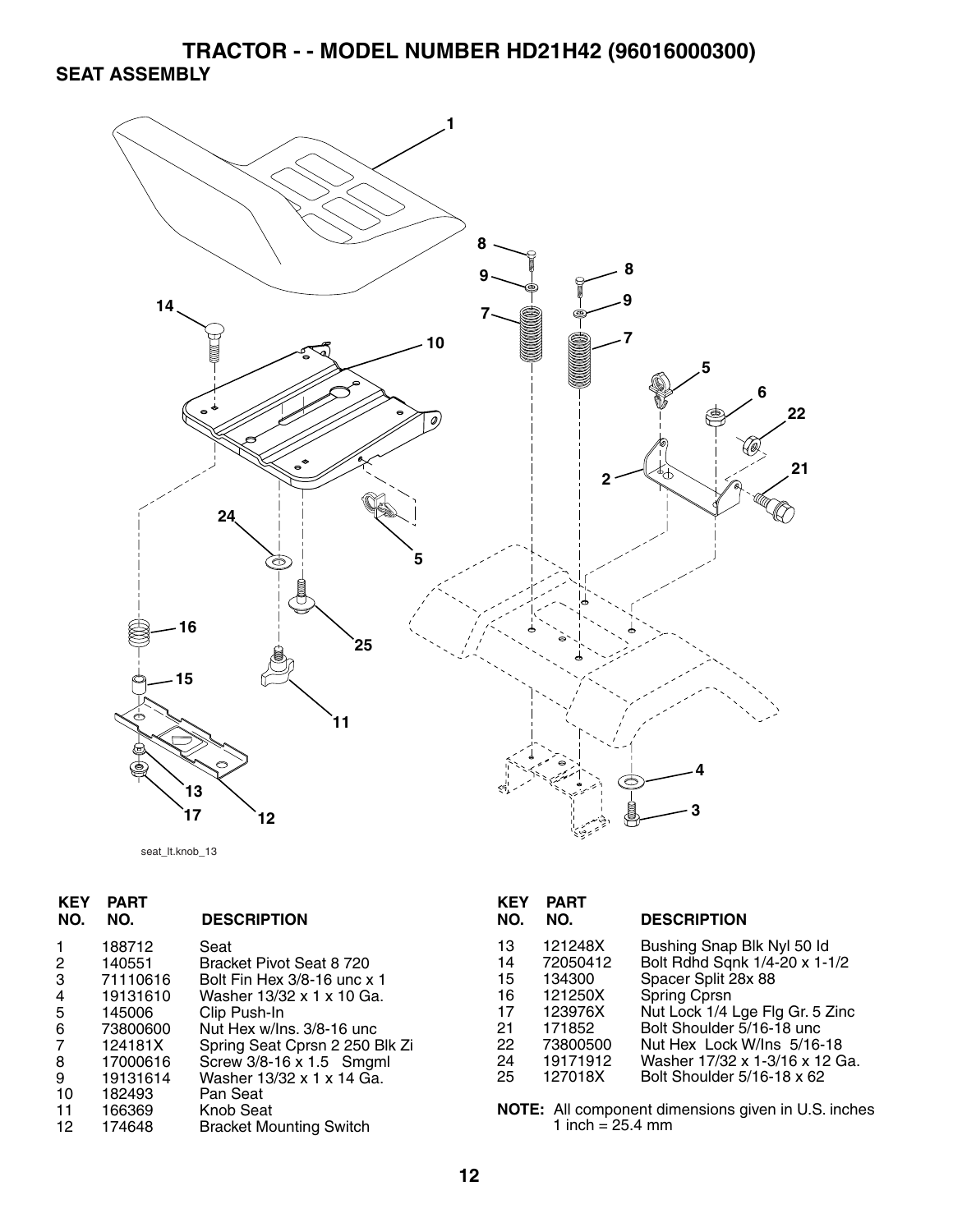## **TRACTOR - - MODEL NUMBER HD21H42 (96016000300) SEAT ASSEMBLY**

![](_page_10_Figure_1.jpeg)

```
seat_lt.knob_13
```

| <b>KEY</b><br>NO. | <b>PART</b><br>NO. | <b>DESCRIPTION</b>             | <b>KEY</b><br>NO. | <b>PART</b><br>NO. | <b>DESCRIPTION</b>                                         |
|-------------------|--------------------|--------------------------------|-------------------|--------------------|------------------------------------------------------------|
|                   | 188712             | Seat                           | 13                | 121248X            | Bushing Snap Blk Nyl 50 ld                                 |
| 2                 | 140551             | Bracket Pivot Seat 8 720       | 14                | 72050412           | Bolt Rdhd Sqnk 1/4-20 x 1-1/2                              |
| 3                 | 71110616           | Bolt Fin Hex 3/8-16 unc x 1    | 15                | 134300             | Spacer Split 28x 88                                        |
|                   | 19131610           | Washer 13/32 x 1 x 10 Ga.      | 16                | 121250X            | Spring Cprsn                                               |
| 5                 | 145006             | Clip Push-In                   | 17                | 123976X            | Nut Lock 1/4 Lge Flg Gr. 5 Zinc                            |
| 6                 | 73800600           | Nut Hex w/Ins. 3/8-16 unc      | 21                | 171852             | Bolt Shoulder 5/16-18 unc                                  |
|                   | 124181X            | Spring Seat Cprsn 2 250 Blk Zi | 22                | 73800500           | Nut Hex Lock W/Ins 5/16-18                                 |
| 8                 | 17000616           | Screw 3/8-16 x 1.5 Smgml       | 24                | 19171912           | Washer 17/32 x 1-3/16 x 12 Ga.                             |
| 9                 | 19131614           | Washer 13/32 x 1 x 14 Ga.      | 25                | 127018X            | Bolt Shoulder 5/16-18 x 62                                 |
| 10                | 182493             | Pan Seat                       |                   |                    |                                                            |
| 11                | 166369             | Knob Seat                      |                   |                    | <b>NOTE:</b> All component dimensions given in U.S. inches |
| 12                | 174648             | <b>Bracket Mounting Switch</b> |                   |                    |                                                            |
|                   |                    |                                |                   |                    | 1 inch = $25.4$ mm                                         |

**12**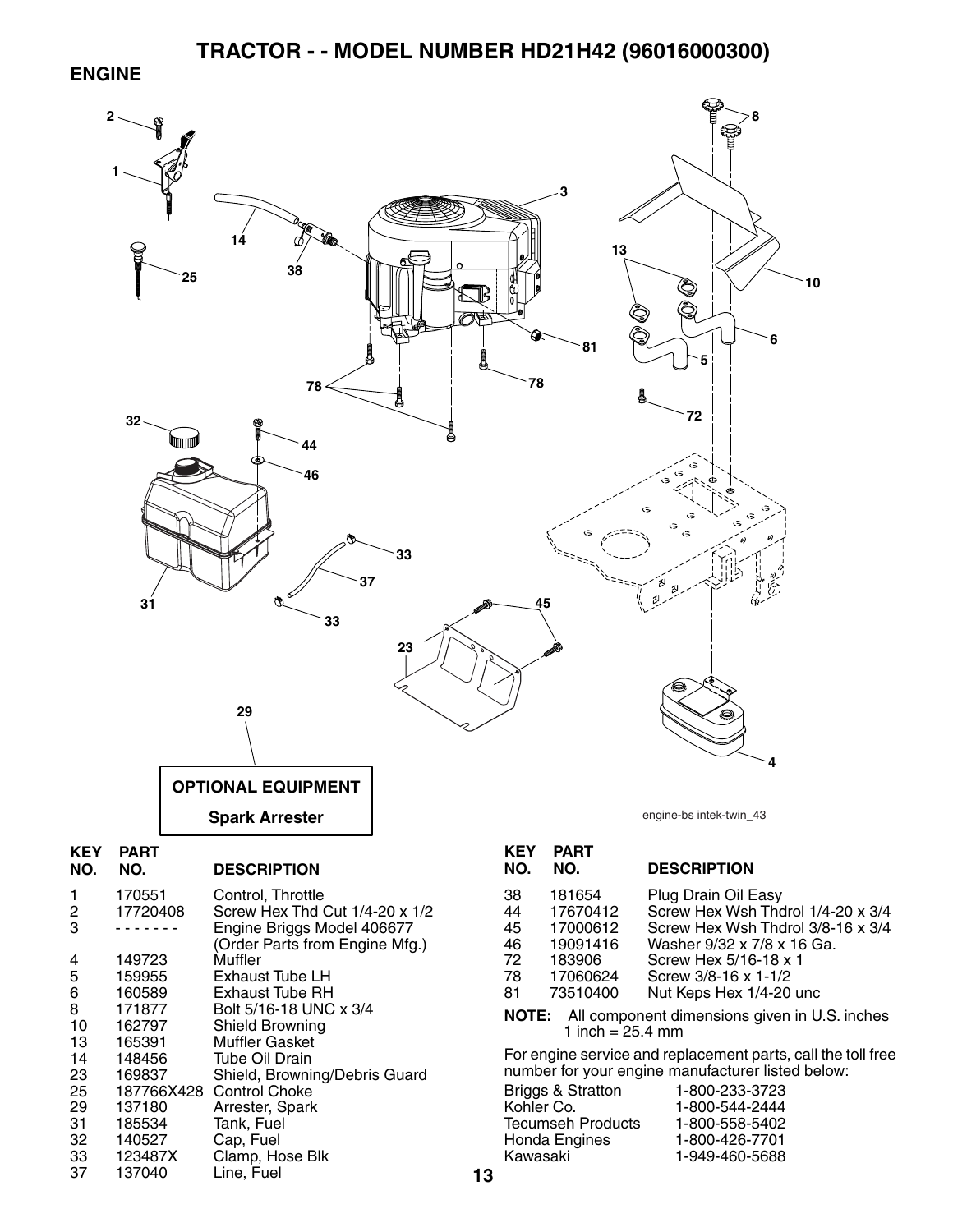**ENGINE** 

![](_page_11_Figure_2.jpeg)

37 137040 Line, Fuel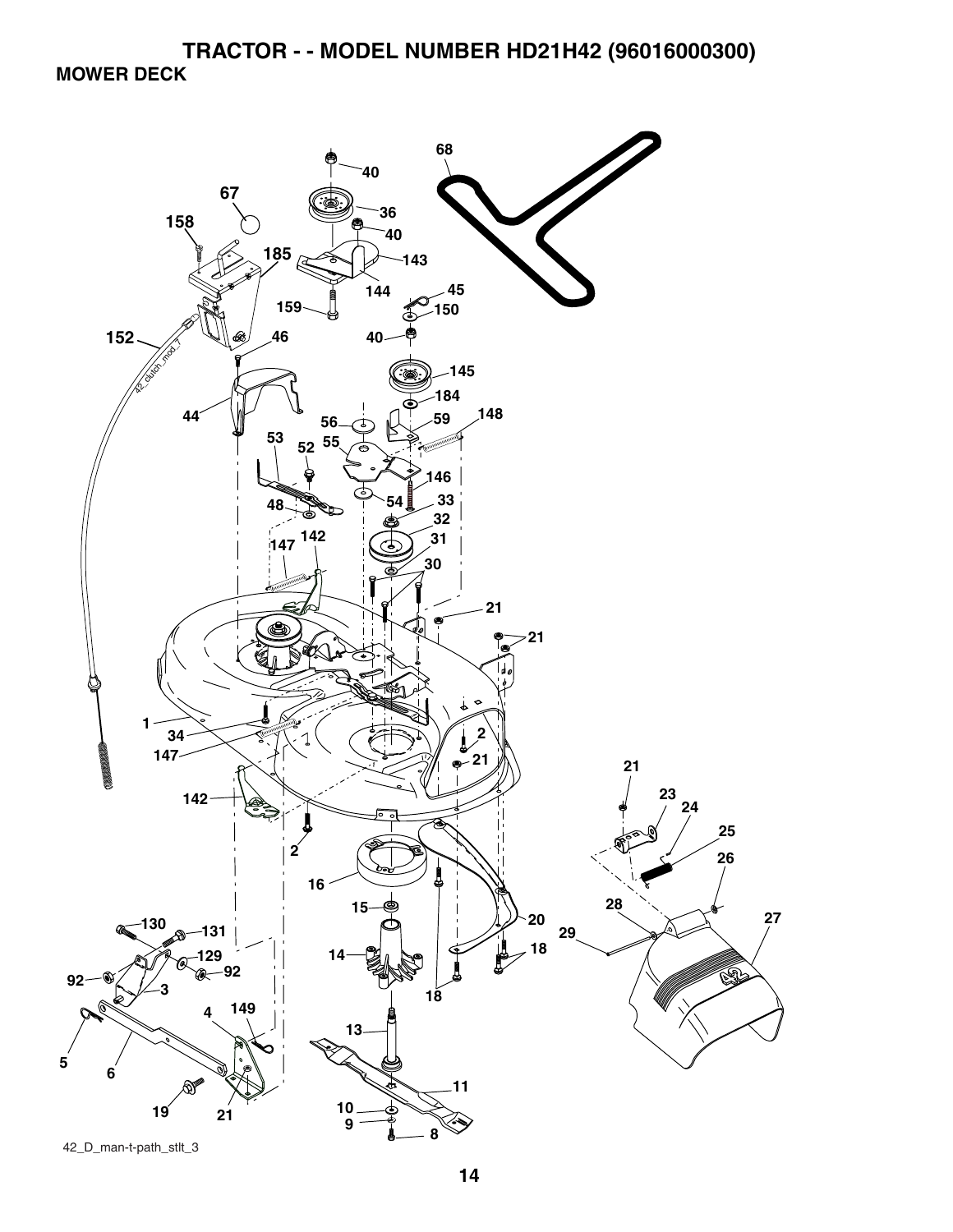## **TRACTOR - - MODEL NUMBER HD21H42 (96016000300) MOWER DECK**

![](_page_12_Picture_1.jpeg)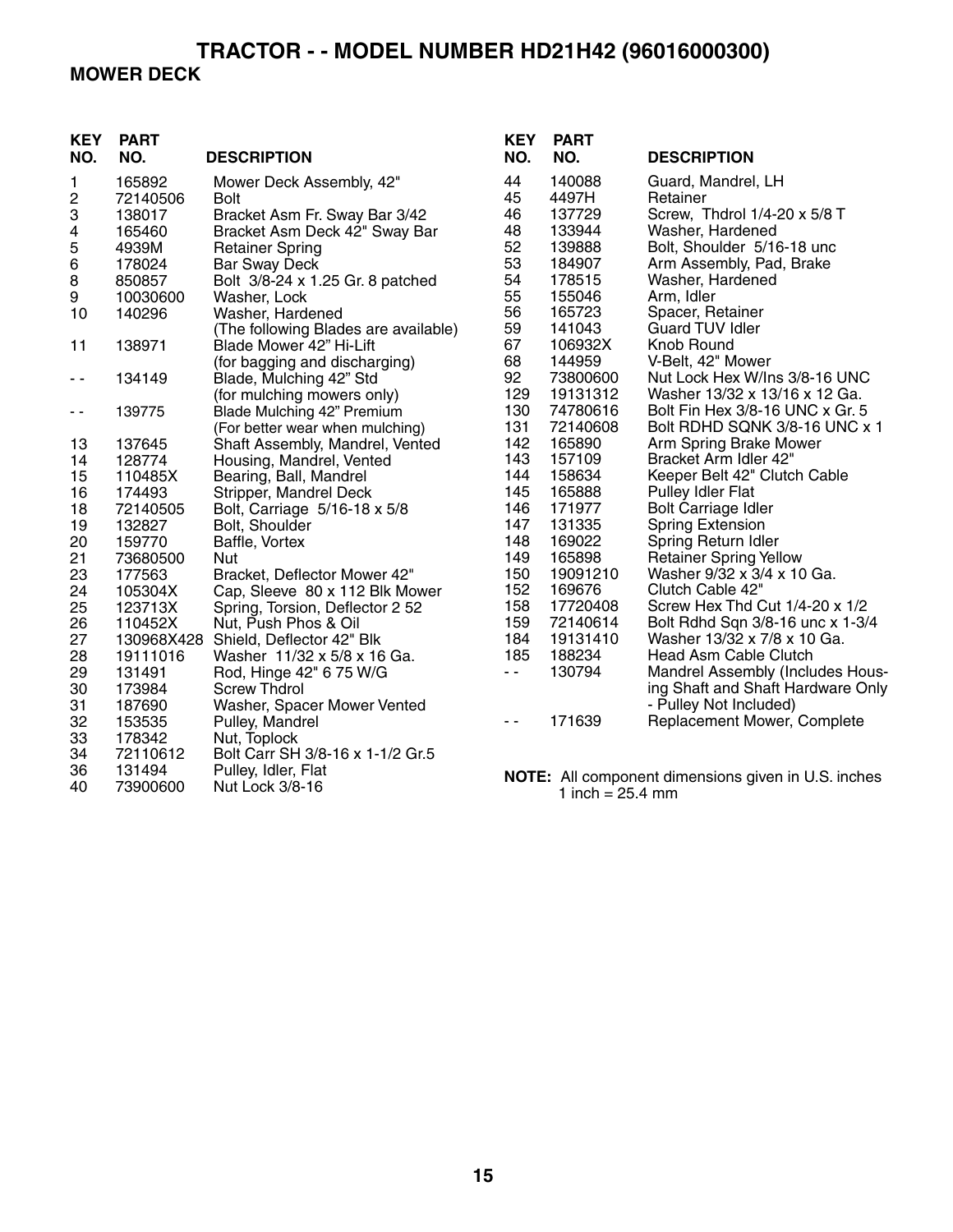## **MOWER DECK**

| <b>KEY</b><br>NO.        | <b>PART</b><br>NO. | <b>DESCRIPTION</b>                   | <b>KEY</b><br>NO. | <b>PART</b><br>NO.        | <b>DESCRIPTION</b>                                         |
|--------------------------|--------------------|--------------------------------------|-------------------|---------------------------|------------------------------------------------------------|
| 1                        | 165892             | Mower Deck Assembly, 42"             | 44                | 140088                    | Guard, Mandrel, LH                                         |
| $\overline{\mathbf{c}}$  | 72140506           | <b>Bolt</b>                          | 45                | 4497H                     | Retainer                                                   |
| 3                        | 138017             | Bracket Asm Fr. Sway Bar 3/42        | 46                | 137729                    | Screw, Thdrol 1/4-20 x 5/8 T                               |
| $\overline{\mathcal{A}}$ | 165460             | Bracket Asm Deck 42" Sway Bar        | 48                | 133944                    | Washer, Hardened                                           |
| 5                        | 4939M              | <b>Retainer Spring</b>               | 52                | 139888                    | Bolt, Shoulder 5/16-18 unc                                 |
| $\,6$                    | 178024             | <b>Bar Sway Deck</b>                 | 53                | 184907                    | Arm Assembly, Pad, Brake                                   |
| $\bf8$                   | 850857             | Bolt 3/8-24 x 1.25 Gr. 8 patched     | 54                | 178515                    | Washer, Hardened                                           |
| 9                        | 10030600           | Washer, Lock                         | 55                | 155046                    | Arm, Idler                                                 |
| 10                       | 140296             | Washer, Hardened                     | 56                | 165723                    | Spacer, Retainer                                           |
|                          |                    | (The following Blades are available) | 59                | 141043                    | <b>Guard TUV Idler</b>                                     |
| 11                       | 138971             | Blade Mower 42" Hi-Lift              | 67                | 106932X                   | Knob Round                                                 |
|                          |                    | (for bagging and discharging)        | 68                | 144959                    | V-Belt, 42" Mower                                          |
| $\sim$ $-$               | 134149             | Blade, Mulching 42" Std              | 92                | 73800600                  | Nut Lock Hex W/Ins 3/8-16 UNC                              |
|                          |                    | (for mulching mowers only)           | 129               | 19131312                  | Washer 13/32 x 13/16 x 12 Ga.                              |
| $\sim$ $-$               | 139775             | Blade Mulching 42" Premium           | 130               | 74780616                  | Bolt Fin Hex 3/8-16 UNC x Gr. 5                            |
|                          |                    | (For better wear when mulching)      | 131               | 72140608                  | Bolt RDHD SQNK 3/8-16 UNC x 1                              |
| 13                       | 137645             | Shaft Assembly, Mandrel, Vented      | 142               | 165890                    | Arm Spring Brake Mower                                     |
| 14                       | 128774             | Housing, Mandrel, Vented             | 143               | 157109                    | Bracket Arm Idler 42"                                      |
| 15                       | 110485X            | Bearing, Ball, Mandrel               | 144               | 158634                    | Keeper Belt 42" Clutch Cable                               |
| 16                       | 174493             | Stripper, Mandrel Deck               | 145               | 165888                    | <b>Pulley Idler Flat</b>                                   |
| 18                       | 72140505           | Bolt, Carriage 5/16-18 x 5/8         | 146               | 171977                    | Bolt Carriage Idler                                        |
| 19                       | 132827             | Bolt, Shoulder                       | 147               | 131335                    | <b>Spring Extension</b>                                    |
| 20                       | 159770             | Baffle, Vortex                       | 148               | 169022                    | Spring Return Idler                                        |
| 21                       | 73680500           | Nut                                  | 149               | 165898                    | <b>Retainer Spring Yellow</b>                              |
| 23                       | 177563             | Bracket, Deflector Mower 42"         | 150               | 19091210                  | Washer 9/32 x 3/4 x 10 Ga.                                 |
| 24                       | 105304X            | Cap, Sleeve 80 x 112 Blk Mower       | 152               | 169676                    | Clutch Cable 42"                                           |
| 25                       | 123713X            | Spring, Torsion, Deflector 2 52      | 158               | 17720408                  | Screw Hex Thd Cut 1/4-20 x 1/2                             |
| 26                       | 110452X            | Nut, Push Phos & Oil                 | 159               | 72140614                  | Bolt Rdhd Sqn 3/8-16 unc x 1-3/4                           |
| 27                       | 130968X428         | Shield, Deflector 42" Blk            | 184               | 19131410                  | Washer 13/32 x 7/8 x 10 Ga.                                |
| 28                       | 19111016           | Washer 11/32 x 5/8 x 16 Ga.          | 185               | 188234                    | Head Asm Cable Clutch                                      |
| 29                       | 131491             | Rod, Hinge 42" 6 75 W/G              | - -               | 130794                    | Mandrel Assembly (Includes Hous-                           |
| 30                       | 173984             | <b>Screw Thdrol</b>                  |                   |                           | ing Shaft and Shaft Hardware Only                          |
| 31                       | 187690             | Washer, Spacer Mower Vented          |                   |                           | - Pulley Not Included)                                     |
| 32                       | 153535             | Pulley, Mandrel                      | - -               | 171639                    | Replacement Mower, Complete                                |
| 33                       | 178342             | Nut, Toplock                         |                   |                           |                                                            |
| 34                       | 72110612           | Bolt Carr SH 3/8-16 x 1-1/2 Gr.5     |                   |                           |                                                            |
| 36                       | 131494             | Pulley, Idler, Flat                  |                   |                           | <b>NOTE:</b> All component dimensions given in U.S. inches |
| 40                       | 73900600           | Nut Lock 3/8-16                      |                   | 1 inch $-$ 25 $\Delta$ mm |                                                            |

1 inch = 25.4 mm